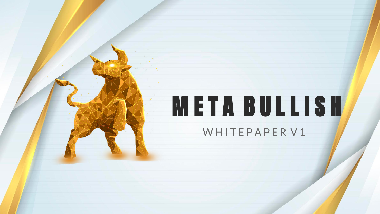# META BULLISH WHITEPAPER V1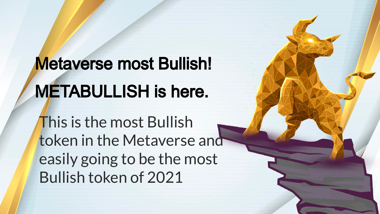# Metaverse most Bullish! METABULLISH is here.

This is the most Bullish token in the Metaverse and easily going to be the most Bullish token of 2021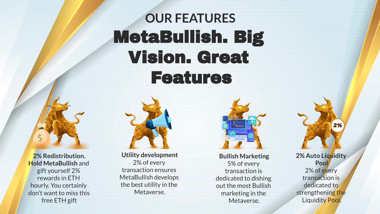### **OUR FEATURES** MetaBullish. Big Vision. Great Features

**2% Redistribution. Hold MetaBullish** and gift yourself 2% rewards in ETH hourly. You certainly don't want to miss this free ETH gift



MetaBullish develops the best utility in the Metaverse.



**Bullish Marketing** 5% of every transaction is dedicated to dishing out the most Bullish marketing in the Metaverse.

**2% Auto Liquidity Pool** 2% of every transaction is dedicated to strengthening the Liquidity Pool.

2%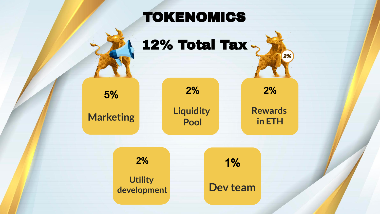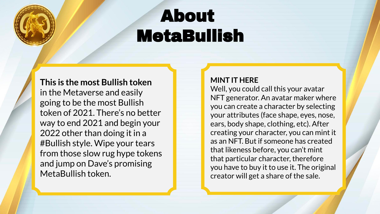## About MetaBullish

**This is the most Bullish token** in the Metaverse and easily going to be the most Bullish token of 2021. There's no better way to end 2021 and begin your 2022 other than doing it in a #Bullish style. Wipe your tears from those slow rug hype tokens and jump on Dave's promising MetaBullish token.

#### **MINT IT HERE**

Well, you could call this your avatar NFT generator. An avatar maker where you can create a character by selecting your attributes (face shape, eyes, nose, ears, body shape, clothing, etc). After creating your character, you can mint it as an NFT. But if someone has created that likeness before, you can't mint that particular character, therefore you have to buy it to use it. The original creator will get a share of the sale.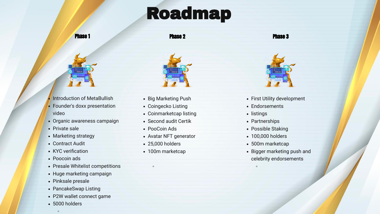### Roadmap

Phase 1

Phase 2

Phase 3



- **Introduction of MetaBullish**
- Founder's doxx presentation video
- Organic awareness campaign
- Private sale
- Marketing strategy
- Contract Audit
- KYC verification
- Poocoin ads
- Presale Whitelist competitions
- Huge marketing campaign
- Pinksale presale
- PancakeSwap Listing
- P2W wallet connect game
- 5000 holders

 $\circ$ 



- Big Marketing Push
- Coingecko Listing
- Coinmarketcap listing
- Second audit Certik
- PooCoin Ads
- Avatar NFT generator
- 25,000 holders

◦

• 100m marketcap



- First Utility development
- Endorsements
- listings

◦

- Partnerships
- Possible Staking
- 100,000 holders
- 500m marketcap
- Bigger marketing push and celebrity endorsements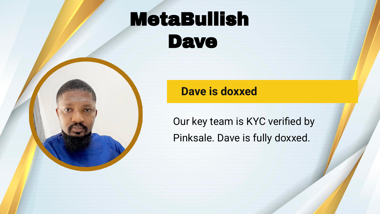### MetaBullish Dave

### **Dave is doxxed**

Our key team is KYC verified by Pinksale. Dave is fully doxxed.